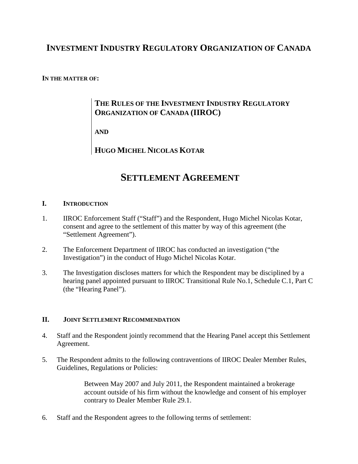## **INVESTMENT INDUSTRY REGULATORY ORGANIZATION OF CANADA**

#### **IN THE MATTER OF:**

### **THE RULES OF THE INVESTMENT INDUSTRY REGULATORY ORGANIZATION OF CANADA (IIROC)**

**AND**

**HUGO MICHEL NICOLAS KOTAR**

# **SETTLEMENT AGREEMENT**

#### **I. INTRODUCTION**

- 1. IIROC Enforcement Staff ("Staff") and the Respondent, Hugo Michel Nicolas Kotar, consent and agree to the settlement of this matter by way of this agreement (the "Settlement Agreement").
- 2. The Enforcement Department of IIROC has conducted an investigation ("the Investigation") in the conduct of Hugo Michel Nicolas Kotar.
- 3. The Investigation discloses matters for which the Respondent may be disciplined by a hearing panel appointed pursuant to IIROC Transitional Rule No.1, Schedule C.1, Part C (the "Hearing Panel").

#### **II. JOINT SETTLEMENT RECOMMENDATION**

- 4. Staff and the Respondent jointly recommend that the Hearing Panel accept this Settlement Agreement.
- 5. The Respondent admits to the following contraventions of IIROC Dealer Member Rules, Guidelines, Regulations or Policies:

Between May 2007 and July 2011, the Respondent maintained a brokerage account outside of his firm without the knowledge and consent of his employer contrary to Dealer Member Rule 29.1.

6. Staff and the Respondent agrees to the following terms of settlement: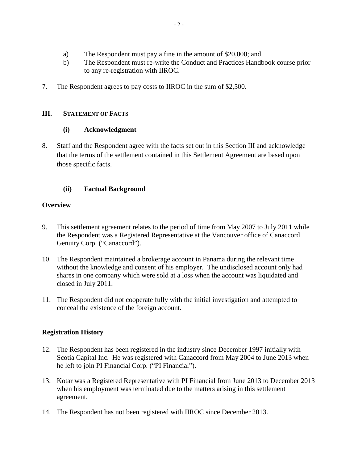- a) The Respondent must pay a fine in the amount of \$20,000; and
- b) The Respondent must re-write the Conduct and Practices Handbook course prior to any re-registration with IIROC.
- 7. The Respondent agrees to pay costs to IIROC in the sum of \$2,500.

#### **III. STATEMENT OF FACTS**

#### **(i) Acknowledgment**

8. Staff and the Respondent agree with the facts set out in this Section III and acknowledge that the terms of the settlement contained in this Settlement Agreement are based upon those specific facts.

#### **(ii) Factual Background**

#### **Overview**

- 9. This settlement agreement relates to the period of time from May 2007 to July 2011 while the Respondent was a Registered Representative at the Vancouver office of Canaccord Genuity Corp. ("Canaccord").
- 10. The Respondent maintained a brokerage account in Panama during the relevant time without the knowledge and consent of his employer. The undisclosed account only had shares in one company which were sold at a loss when the account was liquidated and closed in July 2011.
- 11. The Respondent did not cooperate fully with the initial investigation and attempted to conceal the existence of the foreign account.

#### **Registration History**

- 12. The Respondent has been registered in the industry since December 1997 initially with Scotia Capital Inc. He was registered with Canaccord from May 2004 to June 2013 when he left to join PI Financial Corp. ("PI Financial").
- 13. Kotar was a Registered Representative with PI Financial from June 2013 to December 2013 when his employment was terminated due to the matters arising in this settlement agreement.
- 14. The Respondent has not been registered with IIROC since December 2013.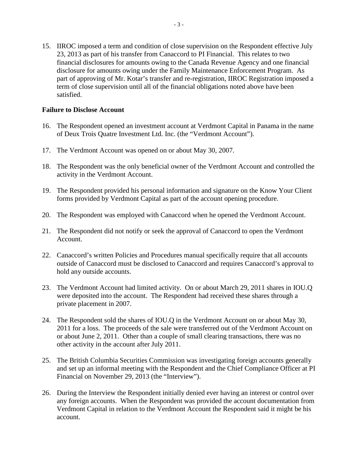15. IIROC imposed a term and condition of close supervision on the Respondent effective July 23, 2013 as part of his transfer from Canaccord to PI Financial. This relates to two financial disclosures for amounts owing to the Canada Revenue Agency and one financial disclosure for amounts owing under the Family Maintenance Enforcement Program. As part of approving of Mr. Kotar's transfer and re-registration, IIROC Registration imposed a term of close supervision until all of the financial obligations noted above have been satisfied.

#### **Failure to Disclose Account**

- 16. The Respondent opened an investment account at Verdmont Capital in Panama in the name of Deux Trois Quatre Investment Ltd. Inc. (the "Verdmont Account").
- 17. The Verdmont Account was opened on or about May 30, 2007.
- 18. The Respondent was the only beneficial owner of the Verdmont Account and controlled the activity in the Verdmont Account.
- 19. The Respondent provided his personal information and signature on the Know Your Client forms provided by Verdmont Capital as part of the account opening procedure.
- 20. The Respondent was employed with Canaccord when he opened the Verdmont Account.
- 21. The Respondent did not notify or seek the approval of Canaccord to open the Verdmont Account.
- 22. Canaccord's written Policies and Procedures manual specifically require that all accounts outside of Canaccord must be disclosed to Canaccord and requires Canaccord's approval to hold any outside accounts.
- 23. The Verdmont Account had limited activity. On or about March 29, 2011 shares in IOU.Q were deposited into the account. The Respondent had received these shares through a private placement in 2007.
- 24. The Respondent sold the shares of IOU.Q in the Verdmont Account on or about May 30, 2011 for a loss. The proceeds of the sale were transferred out of the Verdmont Account on or about June 2, 2011. Other than a couple of small clearing transactions, there was no other activity in the account after July 2011.
- 25. The British Columbia Securities Commission was investigating foreign accounts generally and set up an informal meeting with the Respondent and the Chief Compliance Officer at PI Financial on November 29, 2013 (the "Interview").
- 26. During the Interview the Respondent initially denied ever having an interest or control over any foreign accounts. When the Respondent was provided the account documentation from Verdmont Capital in relation to the Verdmont Account the Respondent said it might be his account.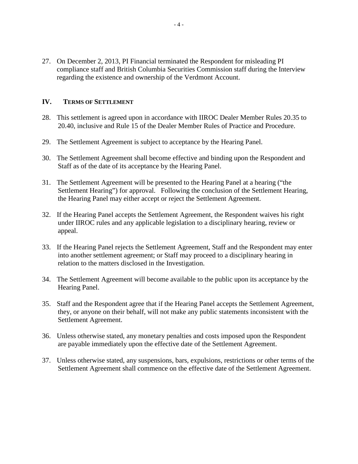27. On December 2, 2013, PI Financial terminated the Respondent for misleading PI compliance staff and British Columbia Securities Commission staff during the Interview regarding the existence and ownership of the Verdmont Account.

#### **IV. TERMS OF SETTLEMENT**

- 28. This settlement is agreed upon in accordance with IIROC Dealer Member Rules 20.35 to 20.40, inclusive and Rule 15 of the Dealer Member Rules of Practice and Procedure.
- 29. The Settlement Agreement is subject to acceptance by the Hearing Panel.
- 30. The Settlement Agreement shall become effective and binding upon the Respondent and Staff as of the date of its acceptance by the Hearing Panel.
- 31. The Settlement Agreement will be presented to the Hearing Panel at a hearing ("the Settlement Hearing") for approval. Following the conclusion of the Settlement Hearing, the Hearing Panel may either accept or reject the Settlement Agreement.
- 32. If the Hearing Panel accepts the Settlement Agreement, the Respondent waives his right under IIROC rules and any applicable legislation to a disciplinary hearing, review or appeal.
- 33. If the Hearing Panel rejects the Settlement Agreement, Staff and the Respondent may enter into another settlement agreement; or Staff may proceed to a disciplinary hearing in relation to the matters disclosed in the Investigation.
- 34. The Settlement Agreement will become available to the public upon its acceptance by the Hearing Panel.
- 35. Staff and the Respondent agree that if the Hearing Panel accepts the Settlement Agreement, they, or anyone on their behalf, will not make any public statements inconsistent with the Settlement Agreement.
- 36. Unless otherwise stated, any monetary penalties and costs imposed upon the Respondent are payable immediately upon the effective date of the Settlement Agreement.
- 37. Unless otherwise stated, any suspensions, bars, expulsions, restrictions or other terms of the Settlement Agreement shall commence on the effective date of the Settlement Agreement.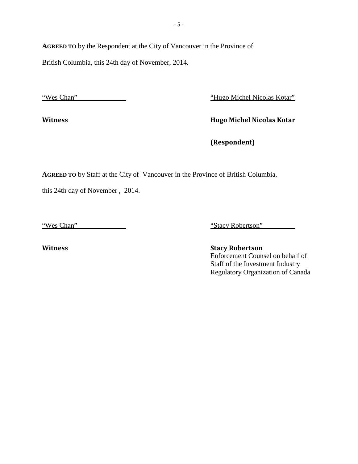**AGREED TO** by the Respondent at the City of Vancouver in the Province of

British Columbia, this 24th day of November, 2014.

"Wes Chan""Hugo Michel Nicolas Kotar"

**Witness Hugo Michel Nicolas Kotar**

**(Respondent)**

**AGREED TO** by Staff at the City of Vancouver in the Province of British Columbia,

this 24th day of November , 2014.

"Wes Chan""Stacy Robertson"

**Witness Stacy Robertson** Enforcement Counsel on behalf of Staff of the Investment Industry Regulatory Organization of Canada